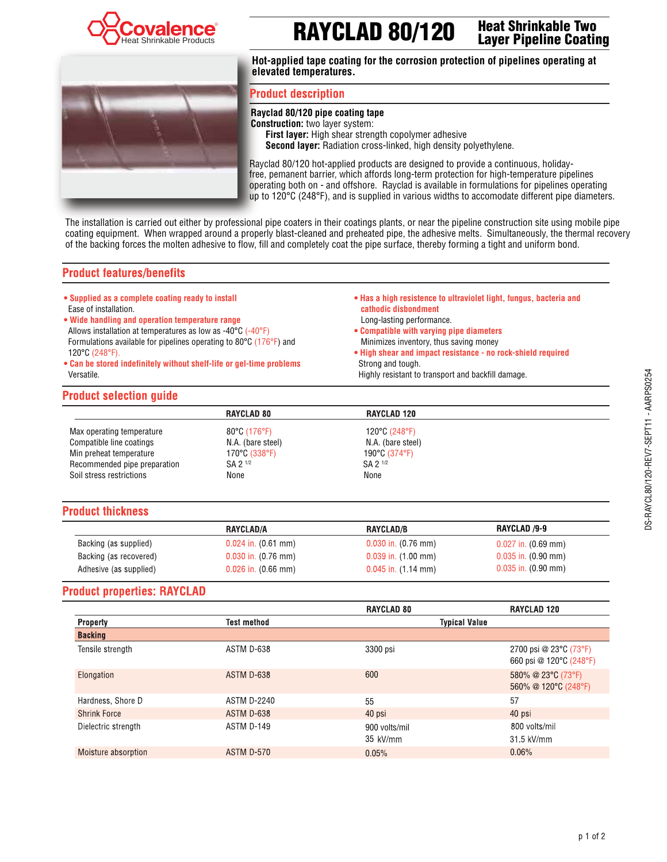

# **RAYCLAD 80/120 Heat Shrinkable Two**

**Layer Pipeline Coating**



**Hot-applied tape coating for the corrosion protection of pipelines operating at elevated temperatures.**

## **Product description**

#### **Rayclad 80/120 pipe coating tape**

**Construction:** two layer system:  **First layer:** High shear strength copolymer adhesive  **Second layer:** Radiation cross-linked, high density polyethylene.

Rayclad 80/120 hot-applied products are designed to provide a continuous, holidayfree, pemanent barrier, which affords long-term protection for high-temperature pipelines operating both on - and offshore. Rayclad is available in formulations for pipelines operating up to 120°C (248°F), and is supplied in various widths to accomodate different pipe diameters.

The installation is carried out either by professional pipe coaters in their coatings plants, or near the pipeline construction site using mobile pipe coating equipment. When wrapped around a properly blast-cleaned and preheated pipe, the adhesive melts. Simultaneously, the thermal recovery of the backing forces the molten adhesive to flow, fill and completely coat the pipe surface, thereby forming a tight and uniform bond.

## **Product features/benefits**

- **Supplied as a complete coating ready to install** Ease of installation.
- Wide handling and operation temperature range Allows installation at temperatures as low as -40°C (-40°F) Formulations available for pipelines operating to 80°C (176°F) and 120°C (248°F).
- $\bullet$  Can be stored indefinitely without shelf-life or gel-time problems Versatile.

#### $\bullet$  Has a high resistence to ultraviolet light, fungus, bacteria and **cathodic disbondment**

- Long-lasting performance.
- $\bullet$  Compatible with varying pipe diameters Minimizes inventory, thus saving money
- High shear and impact resistance no rock-shield required Strong and tough. Highly resistant to transport and backfill damage.

#### **Product selection guide**

|                              | RAYCLAD 80        | RAYCLAD 120       |  |
|------------------------------|-------------------|-------------------|--|
| Max operating temperature    | 80°C (176°F)      | 120°C (248°F)     |  |
| Compatible line coatings     | N.A. (bare steel) | N.A. (bare steel) |  |
| Min preheat temperature      | 170°C (338°F)     | 190°C (374°F)     |  |
| Recommended pipe preparation | SA 2 1/2          | SA 2 1/2          |  |
| Soil stress restrictions     | None              | None              |  |
|                              |                   |                   |  |

## **Product thickness**

|                        | <b>RAYCLAD/A</b>        | <b>RAYCLAD/B</b>        | RAYCLAD /9-9            |
|------------------------|-------------------------|-------------------------|-------------------------|
| Backing (as supplied)  | $0.024$ in. $(0.61$ mm) | $0.030$ in. $(0.76$ mm) | $0.027$ in. $(0.69$ mm) |
| Backing (as recovered) | $0.030$ in. $(0.76$ mm) | $0.039$ in. $(1.00$ mm) | $0.035$ in. $(0.90$ mm) |
| Adhesive (as supplied) | $0.026$ in. $(0.66$ mm) | $0.045$ in. $(1.14$ mm) | $0.035$ in. $(0.90$ mm) |

## **Product properties: RAYCLAD**

|                     |                    | <b>RAYCLAD 80</b>         | <b>RAYCLAD 120</b>                                |
|---------------------|--------------------|---------------------------|---------------------------------------------------|
| Property            | <b>Test method</b> | <b>Typical Value</b>      |                                                   |
| <b>Backing</b>      |                    |                           |                                                   |
| Tensile strength    | ASTM D-638         | 3300 psi                  | 2700 psi @ 23°C (73°F)<br>660 psi @ 120°C (248°F) |
| Elongation          | ASTM D-638         | 600                       | 580% @ 23°C (73°F)<br>560% @ 120°C (248°F)        |
| Hardness, Shore D   | <b>ASTM D-2240</b> | 55                        | 57                                                |
| <b>Shrink Force</b> | ASTM D-638         | 40 psi                    | 40 psi                                            |
| Dielectric strength | ASTM D-149         | 900 volts/mil<br>35 kV/mm | 800 volts/mil<br>31.5 kV/mm                       |
| Moisture absorption | ASTM D-570         | 0.05%                     | 0.06%                                             |